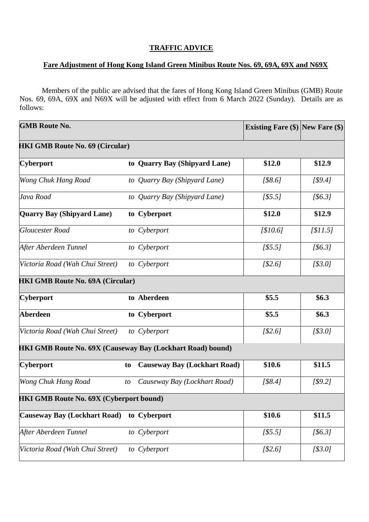## **TRAFFIC ADVICE**

## **Fare Adjustment of Hong Kong Island Green Minibus Route Nos. 69, 69A, 69X and N69X**

Members of the public are advised that the fares of Hong Kong Island Green Minibus (GMB) Route Nos. 69, 69A, 69X and N69X will be adjusted with effect from 6 March 2022 (Sunday). Details are as follows:

| <b>GMB Route No.</b>                                              |    |                                     | <b>Existing Fare (\$) New Fare (\$)</b> |          |  |  |  |
|-------------------------------------------------------------------|----|-------------------------------------|-----------------------------------------|----------|--|--|--|
| <b>HKI GMB Route No. 69 (Circular)</b>                            |    |                                     |                                         |          |  |  |  |
| Cyberport                                                         |    | to Quarry Bay (Shipyard Lane)       | \$12.0                                  | \$12.9   |  |  |  |
| Wong Chuk Hang Road                                               |    | to Quarry Bay (Shipyard Lane)       | [\$8.6]                                 | [\$9.4]  |  |  |  |
| Java Road                                                         |    | to Quarry Bay (Shipyard Lane)       | [\$5.5]                                 | [\$6.3]  |  |  |  |
| <b>Quarry Bay (Shipyard Lane)</b>                                 |    | to Cyberport                        | \$12.0                                  | \$12.9   |  |  |  |
| <b>Gloucester Road</b>                                            |    | to Cyberport                        | [\$10.6]                                | [\$11.5] |  |  |  |
| After Aberdeen Tunnel                                             |    | to Cyberport                        | [\$5.5]                                 | [\$6.3]  |  |  |  |
| Victoria Road (Wah Chui Street)                                   |    | to Cyberport                        | [\$2.6]                                 | [\$3.0]  |  |  |  |
| <b>HKI GMB Route No. 69A (Circular)</b>                           |    |                                     |                                         |          |  |  |  |
| Cyberport                                                         |    | to Aberdeen                         | \$5.5                                   | \$6.3    |  |  |  |
| <b>Aberdeen</b>                                                   |    | to Cyberport                        | \$5.5                                   | \$6.3\$  |  |  |  |
| Victoria Road (Wah Chui Street)                                   |    | to Cyberport                        | [\$2.6]                                 | [\$3.0]  |  |  |  |
| <b>HKI GMB Route No. 69X (Causeway Bay (Lockhart Road) bound)</b> |    |                                     |                                         |          |  |  |  |
| Cyberport                                                         | to | <b>Causeway Bay (Lockhart Road)</b> | \$10.6                                  | \$11.5   |  |  |  |
| Wong Chuk Hang Road                                               | to | Causeway Bay (Lockhart Road)        | [\$8.4]                                 | [\$9.2]  |  |  |  |
| <b>HKI GMB Route No. 69X (Cyberport bound)</b>                    |    |                                     |                                         |          |  |  |  |
| <b>Causeway Bay (Lockhart Road)</b>                               |    | to Cyberport                        | \$10.6                                  | \$11.5   |  |  |  |
| After Aberdeen Tunnel                                             |    | to Cyberport                        | [\$5.5]                                 | [\$6.3]  |  |  |  |
| Victoria Road (Wah Chui Street)                                   |    | to Cyberport                        | [\$2.6]                                 | [\$3.0]  |  |  |  |